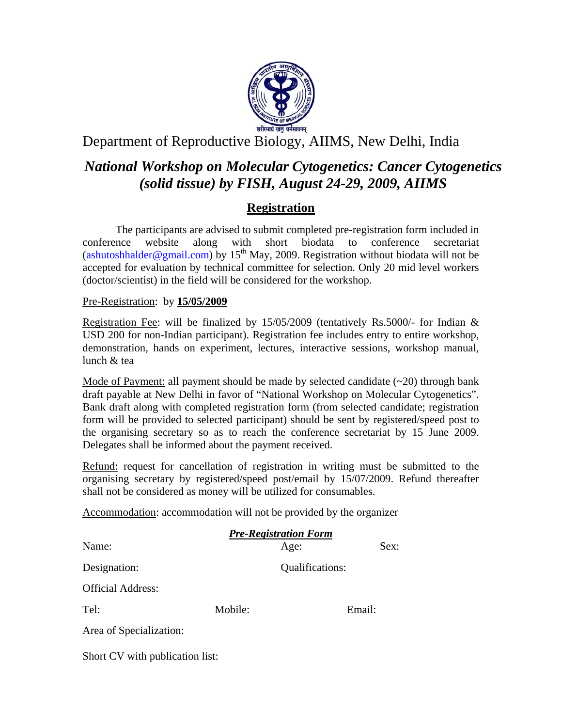

# Department of Reproductive Biology, AIIMS, New Delhi, India

# *National Workshop on Molecular Cytogenetics: Cancer Cytogenetics (solid tissue) by FISH, August 24-29, 2009, AIIMS*

## **Registration**

The participants are advised to submit completed pre-registration form included in conference website along with short biodata to conference secretariat (ashutoshhalder@gmail.com) by 15<sup>th</sup> May, 2009. Registration without biodata will not be accepted for evaluation by technical committee for selection. Only 20 mid level workers (doctor/scientist) in the field will be considered for the workshop.

Pre-Registration: by **15/05/2009**

Registration Fee: will be finalized by  $15/05/2009$  (tentatively Rs.5000/- for Indian & USD 200 for non-Indian participant). Registration fee includes entry to entire workshop, demonstration, hands on experiment, lectures, interactive sessions, workshop manual, lunch & tea

Mode of Payment: all payment should be made by selected candidate  $(\sim 20)$  through bank draft payable at New Delhi in favor of "National Workshop on Molecular Cytogenetics". Bank draft along with completed registration form (from selected candidate; registration form will be provided to selected participant) should be sent by registered/speed post to the organising secretary so as to reach the conference secretariat by 15 June 2009. Delegates shall be informed about the payment received.

Refund: request for cancellation of registration in writing must be submitted to the organising secretary by registered/speed post/email by 15/07/2009. Refund thereafter shall not be considered as money will be utilized for consumables.

Accommodation: accommodation will not be provided by the organizer

| <b>Pre-Registration Form</b> |         |                 |        |
|------------------------------|---------|-----------------|--------|
| Name:                        |         | Age:            | Sex:   |
| Designation:                 |         | Qualifications: |        |
| <b>Official Address:</b>     |         |                 |        |
| Tel:                         | Mobile: |                 | Email: |
| Area of Specialization:      |         |                 |        |

Short CV with publication list: